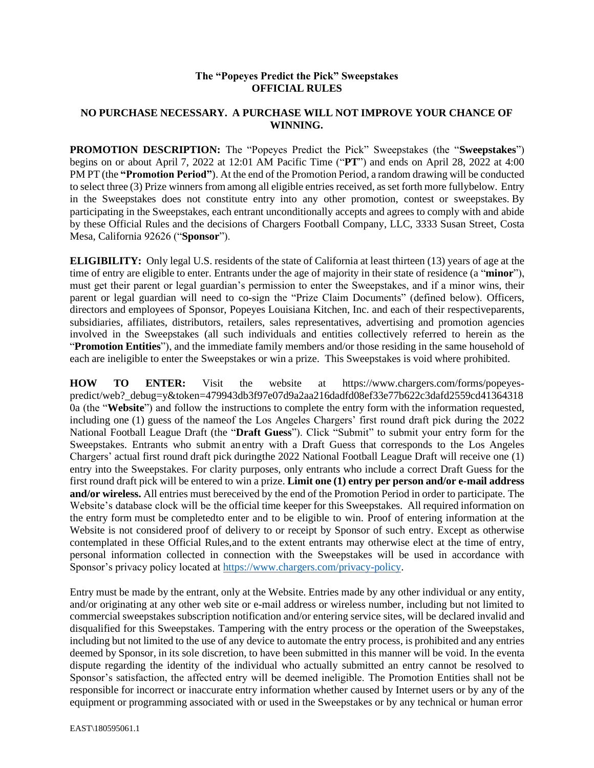## **The "Popeyes Predict the Pick" Sweepstakes OFFICIAL RULES**

## **NO PURCHASE NECESSARY. A PURCHASE WILL NOT IMPROVE YOUR CHANCE OF WINNING.**

**PROMOTION DESCRIPTION:** The "Popeyes Predict the Pick" Sweepstakes (the "**Sweepstakes**") begins on or about April 7, 2022 at 12:01 AM Pacific Time ("**PT**") and ends on April 28, 2022 at 4:00 PM PT (the **"Promotion Period"**). At the end of the Promotion Period, a random drawing will be conducted to select three (3) Prize winners from among all eligible entries received, as set forth more fullybelow. Entry in the Sweepstakes does not constitute entry into any other promotion, contest or sweepstakes. By participating in the Sweepstakes, each entrant unconditionally accepts and agrees to comply with and abide by these Official Rules and the decisions of Chargers Football Company, LLC, 3333 Susan Street, Costa Mesa, California 92626 ("**Sponsor**").

**ELIGIBILITY:** Only legal U.S. residents of the state of California at least thirteen (13) years of age at the time of entry are eligible to enter. Entrants under the age of majority in their state of residence (a "**minor**"), must get their parent or legal guardian's permission to enter the Sweepstakes, and if a minor wins, their parent or legal guardian will need to co-sign the "Prize Claim Documents" (defined below). Officers, directors and employees of Sponsor, Popeyes Louisiana Kitchen, Inc. and each of their respectiveparents, subsidiaries, affiliates, distributors, retailers, sales representatives, advertising and promotion agencies involved in the Sweepstakes (all such individuals and entities collectively referred to herein as the "**Promotion Entities**"), and the immediate family members and/or those residing in the same household of each are ineligible to enter the Sweepstakes or win a prize. This Sweepstakes is void where prohibited.

**HOW TO ENTER:** Visit the website at https://www.chargers.com/forms/popeyespredict/web?\_debug=y&token=479943db3f97e07d9a2aa216dadfd08ef33e77b622c3dafd2559cd41364318 0a (the "**Website**") and follow the instructions to complete the entry form with the information requested, including one (1) guess of the nameof the Los Angeles Chargers' first round draft pick during the 2022 National Football League Draft (the "**Draft Guess**"). Click "Submit" to submit your entry form for the Sweepstakes. Entrants who submit an entry with a Draft Guess that corresponds to the Los Angeles Chargers' actual first round draft pick duringthe 2022 National Football League Draft will receive one (1) entry into the Sweepstakes. For clarity purposes, only entrants who include a correct Draft Guess for the first round draft pick will be entered to win a prize. **Limit one (1) entry per person and/or e-mail address and/or wireless.** All entries must bereceived by the end of the Promotion Period in order to participate. The Website's database clock will be the official time keeper for this Sweepstakes. All required information on the entry form must be completedto enter and to be eligible to win. Proof of entering information at the Website is not considered proof of delivery to or receipt by Sponsor of such entry. Except as otherwise contemplated in these Official Rules,and to the extent entrants may otherwise elect at the time of entry, personal information collected in connection with the Sweepstakes will be used in accordance with Sponsor's privacy policy located at [https://www.chargers.com/privacy-policy.](https://www.chargers.com/privacy-policy)

Entry must be made by the entrant, only at the Website. Entries made by any other individual or any entity, and/or originating at any other web site or e-mail address or wireless number, including but not limited to commercial sweepstakes subscription notification and/or entering service sites, will be declared invalid and disqualified for this Sweepstakes. Tampering with the entry process or the operation of the Sweepstakes, including but not limited to the use of any device to automate the entry process, is prohibited and any entries deemed by Sponsor, in its sole discretion, to have been submitted in this manner will be void. In the eventa dispute regarding the identity of the individual who actually submitted an entry cannot be resolved to Sponsor's satisfaction, the affected entry will be deemed ineligible. The Promotion Entities shall not be responsible for incorrect or inaccurate entry information whether caused by Internet users or by any of the equipment or programming associated with or used in the Sweepstakes or by any technical or human error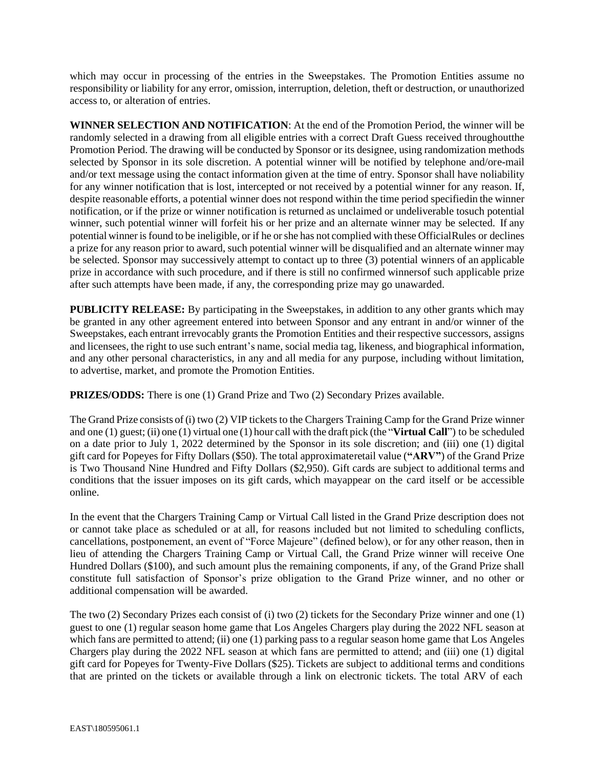which may occur in processing of the entries in the Sweepstakes. The Promotion Entities assume no responsibility or liability for any error, omission, interruption, deletion, theft or destruction, or unauthorized access to, or alteration of entries.

**WINNER SELECTION AND NOTIFICATION**: At the end of the Promotion Period, the winner will be randomly selected in a drawing from all eligible entries with a correct Draft Guess received throughoutthe Promotion Period. The drawing will be conducted by Sponsor or its designee, using randomization methods selected by Sponsor in its sole discretion. A potential winner will be notified by telephone and/ore-mail and/or text message using the contact information given at the time of entry. Sponsor shall have noliability for any winner notification that is lost, intercepted or not received by a potential winner for any reason. If, despite reasonable efforts, a potential winner does not respond within the time period specifiedin the winner notification, or if the prize or winner notification is returned as unclaimed or undeliverable tosuch potential winner, such potential winner will forfeit his or her prize and an alternate winner may be selected. If any potential winner isfound to be ineligible, or if he orshe has not complied with these OfficialRules or declines a prize for any reason prior to award, such potential winner will be disqualified and an alternate winner may be selected. Sponsor may successively attempt to contact up to three (3) potential winners of an applicable prize in accordance with such procedure, and if there is still no confirmed winnersof such applicable prize after such attempts have been made, if any, the corresponding prize may go unawarded.

**PUBLICITY RELEASE:** By participating in the Sweepstakes, in addition to any other grants which may be granted in any other agreement entered into between Sponsor and any entrant in and/or winner of the Sweepstakes, each entrant irrevocably grants the Promotion Entities and their respective successors, assigns and licensees, the right to use such entrant's name, social media tag, likeness, and biographical information, and any other personal characteristics, in any and all media for any purpose, including without limitation, to advertise, market, and promote the Promotion Entities.

**PRIZES/ODDS:** There is one (1) Grand Prize and Two (2) Secondary Prizes available.

The Grand Prize consists of (i) two (2) VIP tickets to the Chargers Training Camp for the Grand Prize winner and one (1) guest; (ii) one (1) virtual one (1) hour call with the draft pick (the "**Virtual Call**") to be scheduled on a date prior to July 1, 2022 determined by the Sponsor in its sole discretion; and (iii) one (1) digital gift card for Popeyes for Fifty Dollars (\$50). The total approximateretail value (**"ARV"**) of the Grand Prize is Two Thousand Nine Hundred and Fifty Dollars (\$2,950). Gift cards are subject to additional terms and conditions that the issuer imposes on its gift cards, which mayappear on the card itself or be accessible online.

In the event that the Chargers Training Camp or Virtual Call listed in the Grand Prize description does not or cannot take place as scheduled or at all, for reasons included but not limited to scheduling conflicts, cancellations, postponement, an event of "Force Majeure" (defined below), or for any other reason, then in lieu of attending the Chargers Training Camp or Virtual Call, the Grand Prize winner will receive One Hundred Dollars (\$100), and such amount plus the remaining components, if any, of the Grand Prize shall constitute full satisfaction of Sponsor's prize obligation to the Grand Prize winner, and no other or additional compensation will be awarded.

The two (2) Secondary Prizes each consist of (i) two (2) tickets for the Secondary Prize winner and one (1) guest to one (1) regular season home game that Los Angeles Chargers play during the 2022 NFL season at which fans are permitted to attend; (ii) one (1) parking pass to a regular season home game that Los Angeles Chargers play during the 2022 NFL season at which fans are permitted to attend; and (iii) one (1) digital gift card for Popeyes for Twenty-Five Dollars (\$25). Tickets are subject to additional terms and conditions that are printed on the tickets or available through a link on electronic tickets. The total ARV of each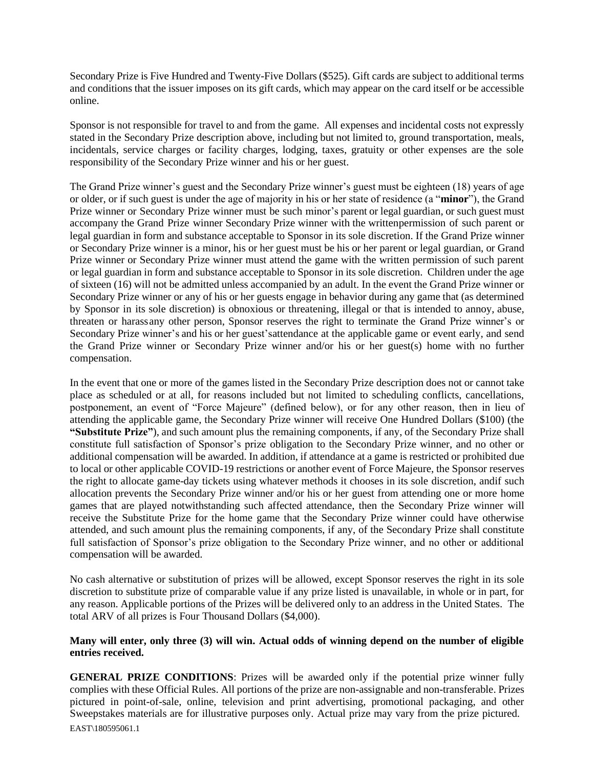Secondary Prize is Five Hundred and Twenty-Five Dollars(\$525). Gift cards are subject to additional terms and conditions that the issuer imposes on its gift cards, which may appear on the card itself or be accessible online.

Sponsor is not responsible for travel to and from the game. All expenses and incidental costs not expressly stated in the Secondary Prize description above, including but not limited to, ground transportation, meals, incidentals, service charges or facility charges, lodging, taxes, gratuity or other expenses are the sole responsibility of the Secondary Prize winner and his or her guest.

The Grand Prize winner's guest and the Secondary Prize winner's guest must be eighteen (18) years of age or older, or if such guest is under the age of majority in his or her state of residence (a "**minor**"), the Grand Prize winner or Secondary Prize winner must be such minor's parent or legal guardian, or such guest must accompany the Grand Prize winner Secondary Prize winner with the writtenpermission of such parent or legal guardian in form and substance acceptable to Sponsor in its sole discretion. If the Grand Prize winner or Secondary Prize winner is a minor, his or her guest must be his or her parent or legal guardian, or Grand Prize winner or Secondary Prize winner must attend the game with the written permission of such parent or legal guardian in form and substance acceptable to Sponsor in its sole discretion. Children under the age of sixteen (16) will not be admitted unless accompanied by an adult. In the event the Grand Prize winner or Secondary Prize winner or any of his or her guests engage in behavior during any game that (as determined by Sponsor in its sole discretion) is obnoxious or threatening, illegal or that is intended to annoy, abuse, threaten or harassany other person, Sponsor reserves the right to terminate the Grand Prize winner's or Secondary Prize winner's and his or her guest'sattendance at the applicable game or event early, and send the Grand Prize winner or Secondary Prize winner and/or his or her guest(s) home with no further compensation.

In the event that one or more of the games listed in the Secondary Prize description does not or cannot take place as scheduled or at all, for reasons included but not limited to scheduling conflicts, cancellations, postponement, an event of "Force Majeure" (defined below), or for any other reason, then in lieu of attending the applicable game, the Secondary Prize winner will receive One Hundred Dollars (\$100) (the **"Substitute Prize"**), and such amount plus the remaining components, if any, of the Secondary Prize shall constitute full satisfaction of Sponsor's prize obligation to the Secondary Prize winner, and no other or additional compensation will be awarded. In addition, if attendance at a game is restricted or prohibited due to local or other applicable COVID-19 restrictions or another event of Force Majeure, the Sponsor reserves the right to allocate game-day tickets using whatever methods it chooses in its sole discretion, andif such allocation prevents the Secondary Prize winner and/or his or her guest from attending one or more home games that are played notwithstanding such affected attendance, then the Secondary Prize winner will receive the Substitute Prize for the home game that the Secondary Prize winner could have otherwise attended, and such amount plus the remaining components, if any, of the Secondary Prize shall constitute full satisfaction of Sponsor's prize obligation to the Secondary Prize winner, and no other or additional compensation will be awarded.

No cash alternative or substitution of prizes will be allowed, except Sponsor reserves the right in its sole discretion to substitute prize of comparable value if any prize listed is unavailable, in whole or in part, for any reason. Applicable portions of the Prizes will be delivered only to an address in the United States. The total ARV of all prizes is Four Thousand Dollars (\$4,000).

## **Many will enter, only three (3) will win. Actual odds of winning depend on the number of eligible entries received.**

EAST\180595061.1 **GENERAL PRIZE CONDITIONS**: Prizes will be awarded only if the potential prize winner fully complies with these Official Rules. All portions of the prize are non-assignable and non-transferable. Prizes pictured in point-of-sale, online, television and print advertising, promotional packaging, and other Sweepstakes materials are for illustrative purposes only. Actual prize may vary from the prize pictured.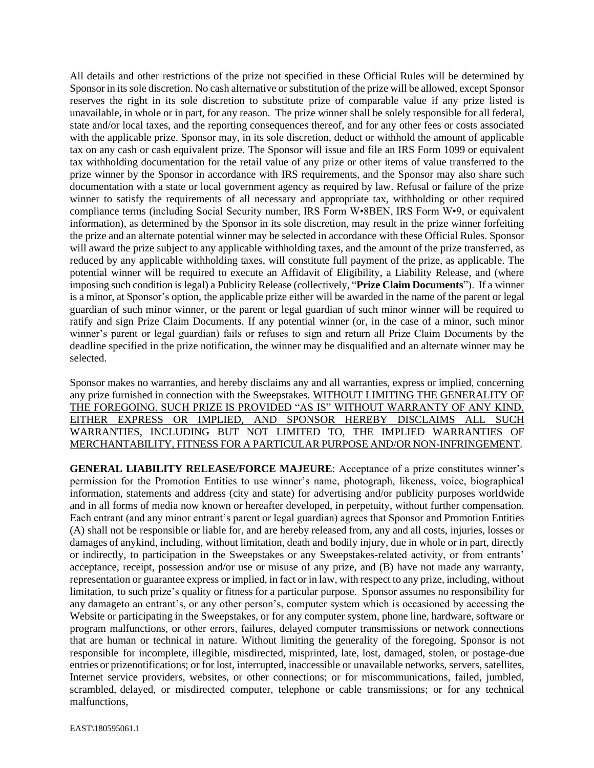All details and other restrictions of the prize not specified in these Official Rules will be determined by Sponsor in its sole discretion. No cash alternative or substitution of the prize will be allowed, except Sponsor reserves the right in its sole discretion to substitute prize of comparable value if any prize listed is unavailable, in whole or in part, for any reason. The prize winner shall be solely responsible for all federal, state and/or local taxes, and the reporting consequences thereof, and for any other fees or costs associated with the applicable prize. Sponsor may, in its sole discretion, deduct or withhold the amount of applicable tax on any cash or cash equivalent prize. The Sponsor will issue and file an IRS Form 1099 or equivalent tax withholding documentation for the retail value of any prize or other items of value transferred to the prize winner by the Sponsor in accordance with IRS requirements, and the Sponsor may also share such documentation with a state or local government agency as required by law. Refusal or failure of the prize winner to satisfy the requirements of all necessary and appropriate tax, withholding or other required compliance terms (including Social Security number, IRS Form W•8BEN, IRS Form W•9, or equivalent information), as determined by the Sponsor in its sole discretion, may result in the prize winner forfeiting the prize and an alternate potential winner may be selected in accordance with these Official Rules. Sponsor will award the prize subject to any applicable withholding taxes, and the amount of the prize transferred, as reduced by any applicable withholding taxes, will constitute full payment of the prize, as applicable. The potential winner will be required to execute an Affidavit of Eligibility, a Liability Release, and (where imposing such condition is legal) a Publicity Release (collectively, "**Prize Claim Documents**"). If a winner is a minor, at Sponsor's option, the applicable prize either will be awarded in the name of the parent or legal guardian of such minor winner, or the parent or legal guardian of such minor winner will be required to ratify and sign Prize Claim Documents. If any potential winner (or, in the case of a minor, such minor winner's parent or legal guardian) fails or refuses to sign and return all Prize Claim Documents by the deadline specified in the prize notification, the winner may be disqualified and an alternate winner may be selected.

Sponsor makes no warranties, and hereby disclaims any and all warranties, express or implied, concerning any prize furnished in connection with the Sweepstakes. WITHOUT LIMITING THE GENERALITY OF THE FOREGOING, SUCH PRIZE IS PROVIDED "AS IS" WITHOUT WARRANTY OF ANY KIND, EITHER EXPRESS OR IMPLIED, AND SPONSOR HEREBY DISCLAIMS ALL SUCH WARRANTIES, INCLUDING BUT NOT LIMITED TO, THE IMPLIED WARRANTIES OF MERCHANTABILITY, FITNESS FOR A PARTICULAR PURPOSE AND/OR NON-INFRINGEMENT.

**GENERAL LIABILITY RELEASE/FORCE MAJEURE**: Acceptance of a prize constitutes winner's permission for the Promotion Entities to use winner's name, photograph, likeness, voice, biographical information, statements and address (city and state) for advertising and/or publicity purposes worldwide and in all forms of media now known or hereafter developed, in perpetuity, without further compensation. Each entrant (and any minor entrant's parent or legal guardian) agrees that Sponsor and Promotion Entities (A) shall not be responsible or liable for, and are hereby released from, any and all costs, injuries, losses or damages of anykind, including, without limitation, death and bodily injury, due in whole or in part, directly or indirectly, to participation in the Sweepstakes or any Sweepstakes-related activity, or from entrants' acceptance, receipt, possession and/or use or misuse of any prize, and (B) have not made any warranty, representation or guarantee express or implied, in fact or in law, with respect to any prize, including, without limitation, to such prize's quality or fitness for a particular purpose. Sponsor assumes no responsibility for any damageto an entrant's, or any other person's, computer system which is occasioned by accessing the Website or participating in the Sweepstakes, or for any computer system, phone line, hardware, software or program malfunctions, or other errors, failures, delayed computer transmissions or network connections that are human or technical in nature. Without limiting the generality of the foregoing, Sponsor is not responsible for incomplete, illegible, misdirected, misprinted, late, lost, damaged, stolen, or postage-due entries or prizenotifications; or for lost, interrupted, inaccessible or unavailable networks, servers, satellites, Internet service providers, websites, or other connections; or for miscommunications, failed, jumbled, scrambled, delayed, or misdirected computer, telephone or cable transmissions; or for any technical malfunctions,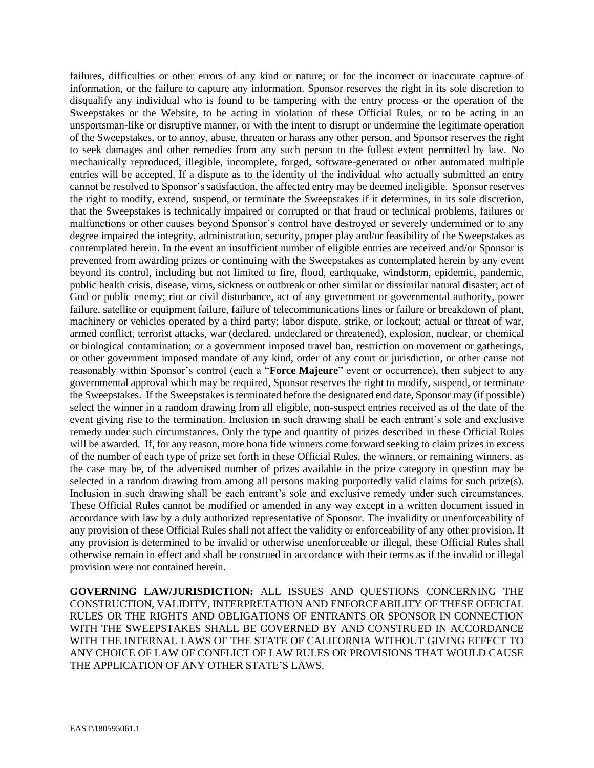failures, difficulties or other errors of any kind or nature; or for the incorrect or inaccurate capture of information, or the failure to capture any information. Sponsor reserves the right in its sole discretion to disqualify any individual who is found to be tampering with the entry process or the operation of the Sweepstakes or the Website, to be acting in violation of these Official Rules, or to be acting in an unsportsman-like or disruptive manner, or with the intent to disrupt or undermine the legitimate operation of the Sweepstakes, or to annoy, abuse, threaten or harass any other person, and Sponsor reserves the right to seek damages and other remedies from any such person to the fullest extent permitted by law. No mechanically reproduced, illegible, incomplete, forged, software-generated or other automated multiple entries will be accepted. If a dispute as to the identity of the individual who actually submitted an entry cannot be resolved to Sponsor's satisfaction, the affected entry may be deemed ineligible. Sponsor reserves the right to modify, extend, suspend, or terminate the Sweepstakes if it determines, in its sole discretion, that the Sweepstakes is technically impaired or corrupted or that fraud or technical problems, failures or malfunctions or other causes beyond Sponsor's control have destroyed or severely undermined or to any degree impaired the integrity, administration, security, proper play and/or feasibility of the Sweepstakes as contemplated herein. In the event an insufficient number of eligible entries are received and/or Sponsor is prevented from awarding prizes or continuing with the Sweepstakes as contemplated herein by any event beyond its control, including but not limited to fire, flood, earthquake, windstorm, epidemic, pandemic, public health crisis, disease, virus, sickness or outbreak or other similar or dissimilar natural disaster; act of God or public enemy; riot or civil disturbance, act of any government or governmental authority, power failure, satellite or equipment failure, failure of telecommunications lines or failure or breakdown of plant, machinery or vehicles operated by a third party; labor dispute, strike, or lockout; actual or threat of war, armed conflict, terrorist attacks, war (declared, undeclared or threatened), explosion, nuclear, or chemical or biological contamination; or a government imposed travel ban, restriction on movement or gatherings, or other government imposed mandate of any kind, order of any court or jurisdiction, or other cause not reasonably within Sponsor's control (each a "**Force Majeure**" event or occurrence), then subject to any governmental approval which may be required, Sponsor reserves the right to modify, suspend, or terminate the Sweepstakes. If the Sweepstakes is terminated before the designated end date, Sponsor may (if possible) select the winner in a random drawing from all eligible, non-suspect entries received as of the date of the event giving rise to the termination. Inclusion in such drawing shall be each entrant's sole and exclusive remedy under such circumstances. Only the type and quantity of prizes described in these Official Rules will be awarded. If, for any reason, more bona fide winners come forward seeking to claim prizes in excess of the number of each type of prize set forth in these Official Rules, the winners, or remaining winners, as the case may be, of the advertised number of prizes available in the prize category in question may be selected in a random drawing from among all persons making purportedly valid claims for such prize(s). Inclusion in such drawing shall be each entrant's sole and exclusive remedy under such circumstances. These Official Rules cannot be modified or amended in any way except in a written document issued in accordance with law by a duly authorized representative of Sponsor. The invalidity or unenforceability of any provision of these Official Rules shall not affect the validity or enforceability of any other provision. If any provision is determined to be invalid or otherwise unenforceable or illegal, these Official Rules shall otherwise remain in effect and shall be construed in accordance with their terms as if the invalid or illegal provision were not contained herein.

**GOVERNING LAW/JURISDICTION:** ALL ISSUES AND QUESTIONS CONCERNING THE CONSTRUCTION, VALIDITY, INTERPRETATION AND ENFORCEABILITY OF THESE OFFICIAL RULES OR THE RIGHTS AND OBLIGATIONS OF ENTRANTS OR SPONSOR IN CONNECTION WITH THE SWEEPSTAKES SHALL BE GOVERNED BY AND CONSTRUED IN ACCORDANCE WITH THE INTERNAL LAWS OF THE STATE OF CALIFORNIA WITHOUT GIVING EFFECT TO ANY CHOICE OF LAW OF CONFLICT OF LAW RULES OR PROVISIONS THAT WOULD CAUSE THE APPLICATION OF ANY OTHER STATE'S LAWS.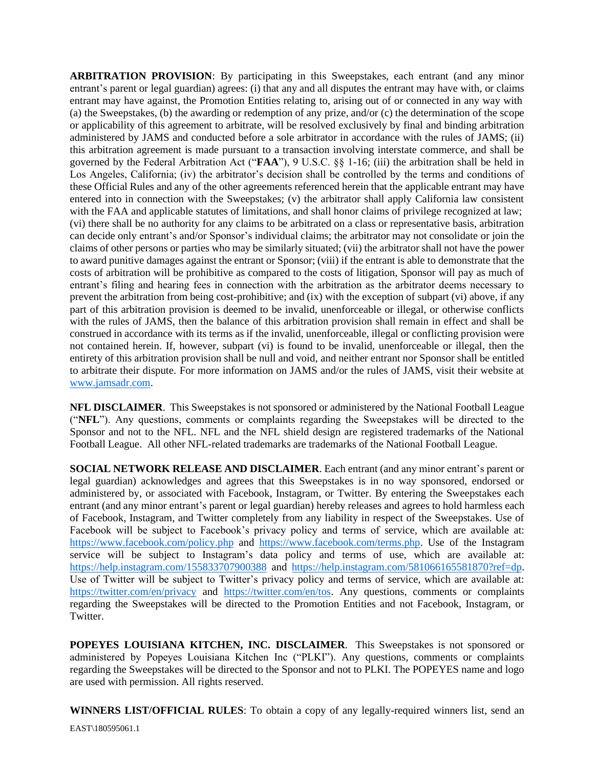**ARBITRATION PROVISION**: By participating in this Sweepstakes, each entrant (and any minor entrant's parent or legal guardian) agrees: (i) that any and all disputes the entrant may have with, or claims entrant may have against, the Promotion Entities relating to, arising out of or connected in any way with (a) the Sweepstakes, (b) the awarding or redemption of any prize, and/or (c) the determination of the scope or applicability of this agreement to arbitrate, will be resolved exclusively by final and binding arbitration administered by JAMS and conducted before a sole arbitrator in accordance with the rules of JAMS; (ii) this arbitration agreement is made pursuant to a transaction involving interstate commerce, and shall be governed by the Federal Arbitration Act ("**FAA**"), 9 U.S.C. §§ 1-16; (iii) the arbitration shall be held in Los Angeles, California; (iv) the arbitrator's decision shall be controlled by the terms and conditions of these Official Rules and any of the other agreements referenced herein that the applicable entrant may have entered into in connection with the Sweepstakes; (v) the arbitrator shall apply California law consistent with the FAA and applicable statutes of limitations, and shall honor claims of privilege recognized at law; (vi) there shall be no authority for any claims to be arbitrated on a class or representative basis, arbitration can decide only entrant's and/or Sponsor's individual claims; the arbitrator may not consolidate or join the claims of other persons or parties who may be similarly situated; (vii) the arbitrator shall not have the power to award punitive damages against the entrant or Sponsor; (viii) if the entrant is able to demonstrate that the costs of arbitration will be prohibitive as compared to the costs of litigation, Sponsor will pay as much of entrant's filing and hearing fees in connection with the arbitration as the arbitrator deems necessary to prevent the arbitration from being cost-prohibitive; and (ix) with the exception of subpart (vi) above, if any part of this arbitration provision is deemed to be invalid, unenforceable or illegal, or otherwise conflicts with the rules of JAMS, then the balance of this arbitration provision shall remain in effect and shall be construed in accordance with its terms as if the invalid, unenforceable, illegal or conflicting provision were not contained herein. If, however, subpart (vi) is found to be invalid, unenforceable or illegal, then the entirety of this arbitration provision shall be null and void, and neither entrant nor Sponsor shall be entitled to arbitrate their dispute. For more information on JAMS and/or the rules of JAMS, visit their website at [www.jamsadr.com.](http://www.jamsadr.com/)

**NFL DISCLAIMER**. This Sweepstakes is not sponsored or administered by the National Football League ("**NFL**"). Any questions, comments or complaints regarding the Sweepstakes will be directed to the Sponsor and not to the NFL. NFL and the NFL shield design are registered trademarks of the National Football League. All other NFL-related trademarks are trademarks of the National Football League.

**SOCIAL NETWORK RELEASE AND DISCLAIMER**. Each entrant (and any minor entrant's parent or legal guardian) acknowledges and agrees that this Sweepstakes is in no way sponsored, endorsed or administered by, or associated with Facebook, Instagram, or Twitter. By entering the Sweepstakes each entrant (and any minor entrant's parent or legal guardian) hereby releases and agrees to hold harmless each of Facebook, Instagram, and Twitter completely from any liability in respect of the Sweepstakes. Use of Facebook will be subject to Facebook's privacy policy and terms of service, which are available at: <https://www.facebook.com/policy.php> and [https://www.facebook.com/terms.php.](https://www.facebook.com/terms.php) Use of the Instagram service will be subject to Instagram's data policy and terms of use, which are available at: <https://help.instagram.com/155833707900388> and [https://help.instagram.com/581066165581870?ref=dp.](https://help.instagram.com/581066165581870?ref=dp) Use of Twitter will be subject to Twitter's privacy policy and terms of service, which are available at: <https://twitter.com/en/privacy> and [https://twitter.com/en/tos.](https://twitter.com/en/tos) Any questions, comments or complaints regarding the Sweepstakes will be directed to the Promotion Entities and not Facebook, Instagram, or Twitter.

**POPEYES LOUISIANA KITCHEN, INC. DISCLAIMER**. This Sweepstakes is not sponsored or administered by Popeyes Louisiana Kitchen Inc ("PLKI"). Any questions, comments or complaints regarding the Sweepstakes will be directed to the Sponsor and not to PLKI. The POPEYES name and logo are used with permission. All rights reserved.

**WINNERS LIST/OFFICIAL RULES**: To obtain a copy of any legally-required winners list, send an